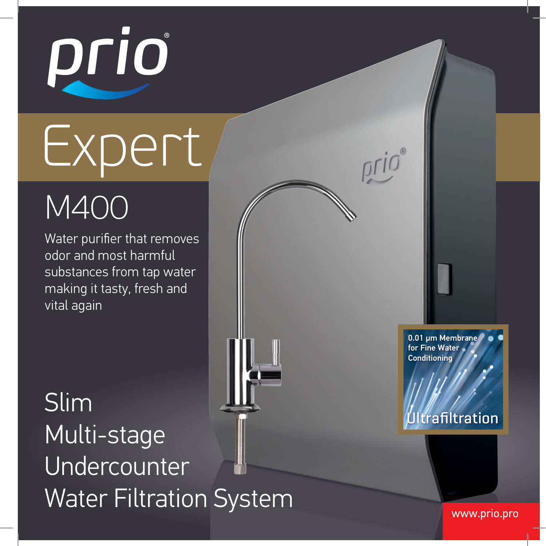

# Expert

# M400

Water purifier that removes odor and most harmful substances from tap water making it tasty, fresh and vital again

Slim Multi-stage Undercounter Water Filtration System Water Filtration System

0.01 um Membrane for Fine Water **Conditioning** 

#### **Iltrafiltration**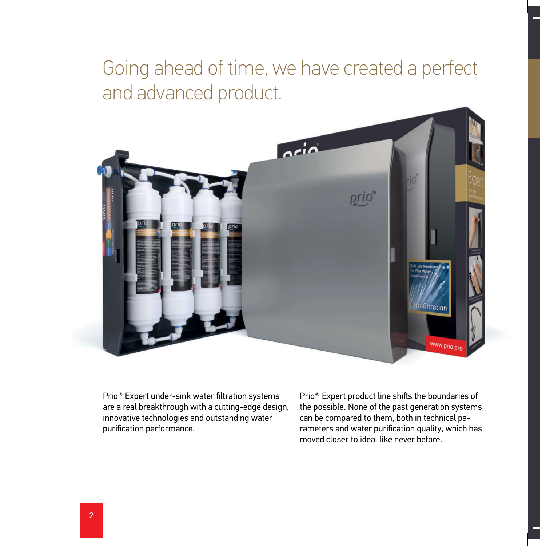### Going ahead of time, we have created a perfect and advanced product.



Prio® Expert under-sink water filtration systems are a real breakthrough with a cutting-edge design, innovative technologies and outstanding water purification performance.

Prio® Expert product line shifts the boundaries of the possible. None of the past generation systems can be compared to them, both in technical parameters and water purification quality, which has moved closer to ideal like never before.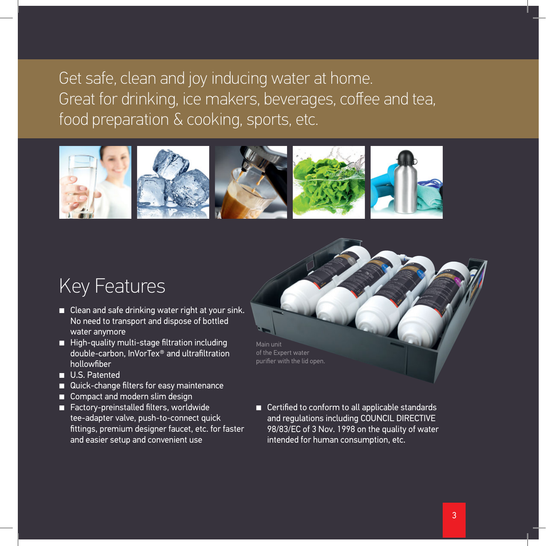#### Get safe, clean and joy inducing water at home. Great for drinking, ice makers, beverages, coffee and tea, food preparation & cooking, sports, etc.



#### Key Features

- Clean and safe drinking water right at your sink. No need to transport and dispose of bottled water anymore
- High-quality multi-stage filtration including double-carbon, InVorTex® and ultrafiltration hollowfiber
- U.S. Patented
- Quick-change filters for easy maintenance
- Compact and modern slim design
- Factory-preinstalled filters, worldwide tee-adapter valve, push-to-connect quick fittings, premium designer faucet, etc. for faster and easier setup and convenient use

Main unit of the Expert water purifier with the lid open.

■ Certified to conform to all applicable standards and regulations including COUNCIL DIRECTIVE 98/83/EC of 3 Nov. 1998 on the quality of water intended for human consumption, etc.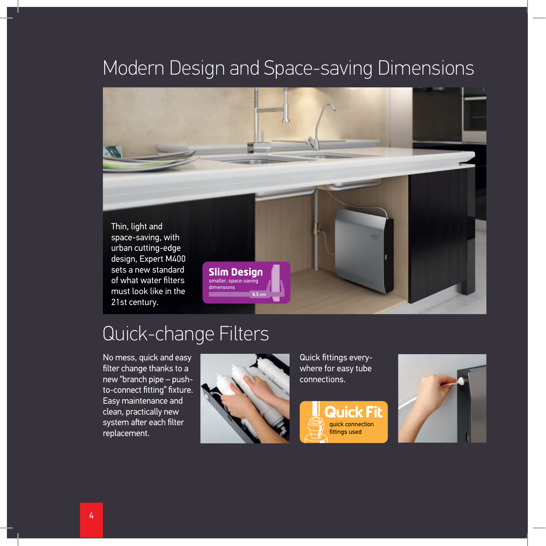### Modern Design and Space-saving Dimensions



### Quick-change Filters

No mess, quick and easy filter change thanks to a new "branch pipe – pushto-connect fitting" fixture. Easy maintenance and clean, practically new system after each filter replacement.



Quick fittings everywhere for easy tube connections.



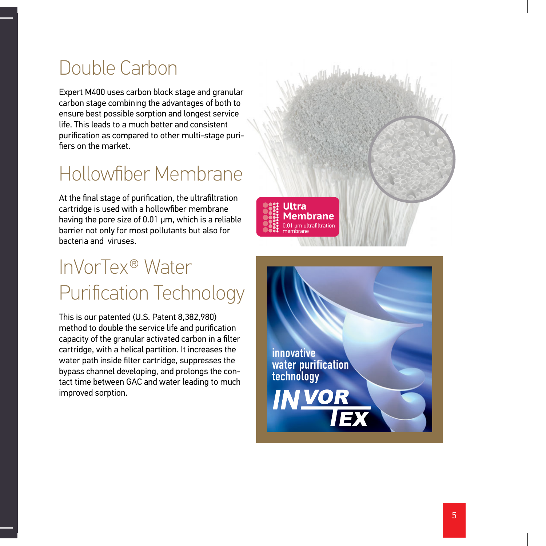# Double Carbon

Expert M400 uses carbon block stage and granular carbon stage combining the advantages of both to ensure best possible sorption and longest service life. This leads to a much better and consistent purification as compared to other multi-stage purifiers on the market.

# Hollowfiber Membrane

At the final stage of purification, the ultrafiltration cartridge is used with a hollowfiber membrane having the pore size of 0.01 μm, which is a reliable barrier not only for most pollutants but also for bacteria and viruses.

# InVorTex® Water Purification Technology

This is our patented (U.S. Patent 8,382,980) method to double the service life and purification capacity of the granular activated carbon in a filter cartridge, with a helical partition. It increases the water path inside filter cartridge, suppresses the bypass channel developing, and prolongs the contact time between GAC and water leading to much improved sorption.



innovative water purification technology**INVORTEX**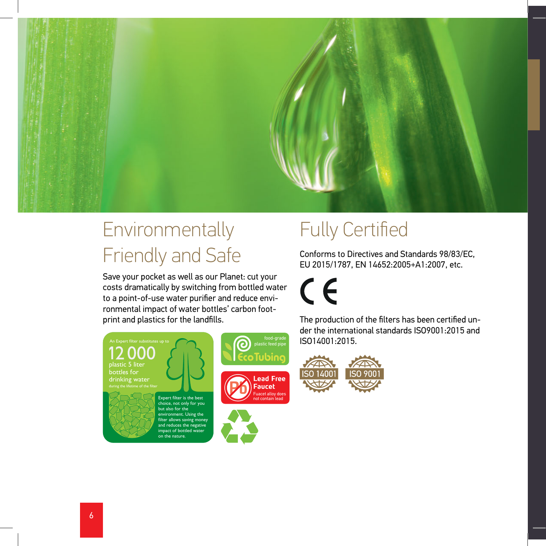

# Environmentally Friendly and Safe

Save your pocket as well as our Planet: cut your costs dramatically by switching from bottled water to a point-of-use water purifier and reduce environmental impact of water bottles' carbon footprint and plastics for the landfills.



e discover.<br>Vironment. Using the filter allows saving money and reduces the negative npact of bottled wate on the nature  $\overline{\phantom{a}}$ 



# Fully Certified

Conforms to Directives and Standards 98/83/EC, EU 2015/1787, EN 14652:2005+A1:2007, etc.

 $\epsilon$ 

The production of the filters has been certified under the international standards ISO9001:2015 and ISO14001:2015.

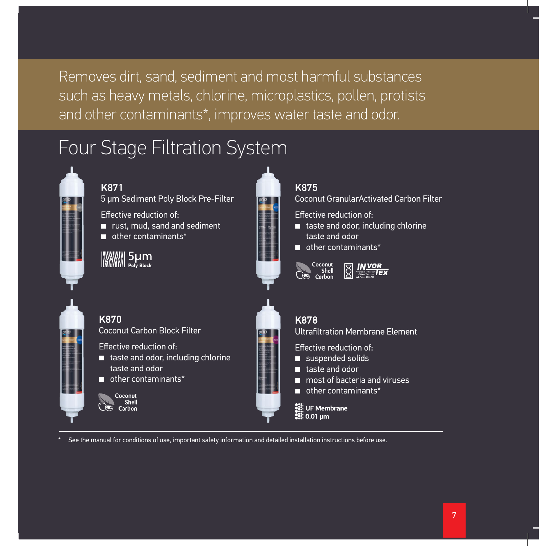Removes dirt, sand, sediment and most harmful substances such as heavy metals, chlorine, microplastics, pollen, protists and other contaminants\*, improves water taste and odor.

## Four Stage Filtration System



See the manual for conditions of use, important safety information and detailed installation instructions before use.